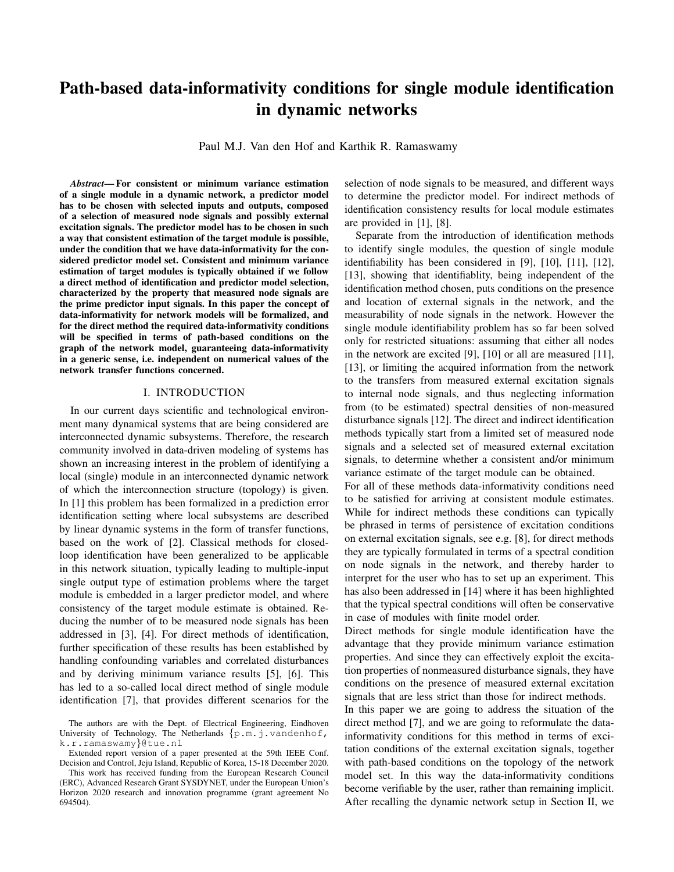# Path-based data-informativity conditions for single module identification in dynamic networks

Paul M.J. Van den Hof and Karthik R. Ramaswamy

*Abstract*— For consistent or minimum variance estimation of a single module in a dynamic network, a predictor model has to be chosen with selected inputs and outputs, composed of a selection of measured node signals and possibly external excitation signals. The predictor model has to be chosen in such a way that consistent estimation of the target module is possible, under the condition that we have data-informativity for the considered predictor model set. Consistent and minimum variance estimation of target modules is typically obtained if we follow a direct method of identification and predictor model selection, characterized by the property that measured node signals are the prime predictor input signals. In this paper the concept of data-informativity for network models will be formalized, and for the direct method the required data-informativity conditions will be specified in terms of path-based conditions on the graph of the network model, guaranteeing data-informativity in a generic sense, i.e. independent on numerical values of the network transfer functions concerned.

# I. INTRODUCTION

In our current days scientific and technological environment many dynamical systems that are being considered are interconnected dynamic subsystems. Therefore, the research community involved in data-driven modeling of systems has shown an increasing interest in the problem of identifying a local (single) module in an interconnected dynamic network of which the interconnection structure (topology) is given. In [1] this problem has been formalized in a prediction error identification setting where local subsystems are described by linear dynamic systems in the form of transfer functions, based on the work of [2]. Classical methods for closedloop identification have been generalized to be applicable in this network situation, typically leading to multiple-input single output type of estimation problems where the target module is embedded in a larger predictor model, and where consistency of the target module estimate is obtained. Reducing the number of to be measured node signals has been addressed in [3], [4]. For direct methods of identification, further specification of these results has been established by handling confounding variables and correlated disturbances and by deriving minimum variance results [5], [6]. This has led to a so-called local direct method of single module identification [7], that provides different scenarios for the

Extended report version of a paper presented at the 59th IEEE Conf. Decision and Control, Jeju Island, Republic of Korea, 15-18 December 2020. selection of node signals to be measured, and different ways to determine the predictor model. For indirect methods of identification consistency results for local module estimates are provided in [1], [8].

Separate from the introduction of identification methods to identify single modules, the question of single module identifiability has been considered in [9], [10], [11], [12], [13], showing that identifiablity, being independent of the identification method chosen, puts conditions on the presence and location of external signals in the network, and the measurability of node signals in the network. However the single module identifiability problem has so far been solved only for restricted situations: assuming that either all nodes in the network are excited [9], [10] or all are measured [11], [13], or limiting the acquired information from the network to the transfers from measured external excitation signals to internal node signals, and thus neglecting information from (to be estimated) spectral densities of non-measured disturbance signals [12]. The direct and indirect identification methods typically start from a limited set of measured node signals and a selected set of measured external excitation signals, to determine whether a consistent and/or minimum variance estimate of the target module can be obtained.

For all of these methods data-informativity conditions need to be satisfied for arriving at consistent module estimates. While for indirect methods these conditions can typically be phrased in terms of persistence of excitation conditions on external excitation signals, see e.g. [8], for direct methods they are typically formulated in terms of a spectral condition on node signals in the network, and thereby harder to interpret for the user who has to set up an experiment. This has also been addressed in [14] where it has been highlighted that the typical spectral conditions will often be conservative in case of modules with finite model order.

Direct methods for single module identification have the advantage that they provide minimum variance estimation properties. And since they can effectively exploit the excitation properties of nonmeasured disturbance signals, they have conditions on the presence of measured external excitation signals that are less strict than those for indirect methods.

In this paper we are going to address the situation of the direct method [7], and we are going to reformulate the datainformativity conditions for this method in terms of excitation conditions of the external excitation signals, together with path-based conditions on the topology of the network model set. In this way the data-informativity conditions become verifiable by the user, rather than remaining implicit. After recalling the dynamic network setup in Section II, we

The authors are with the Dept. of Electrical Engineering, Eindhoven University of Technology, The Netherlands  $\{p.m.j.vandenhof,$ k.r.ramaswamy}@tue.nl

This work has received funding from the European Research Council (ERC), Advanced Research Grant SYSDYNET, under the European Union's Horizon 2020 research and innovation programme (grant agreement No 694504).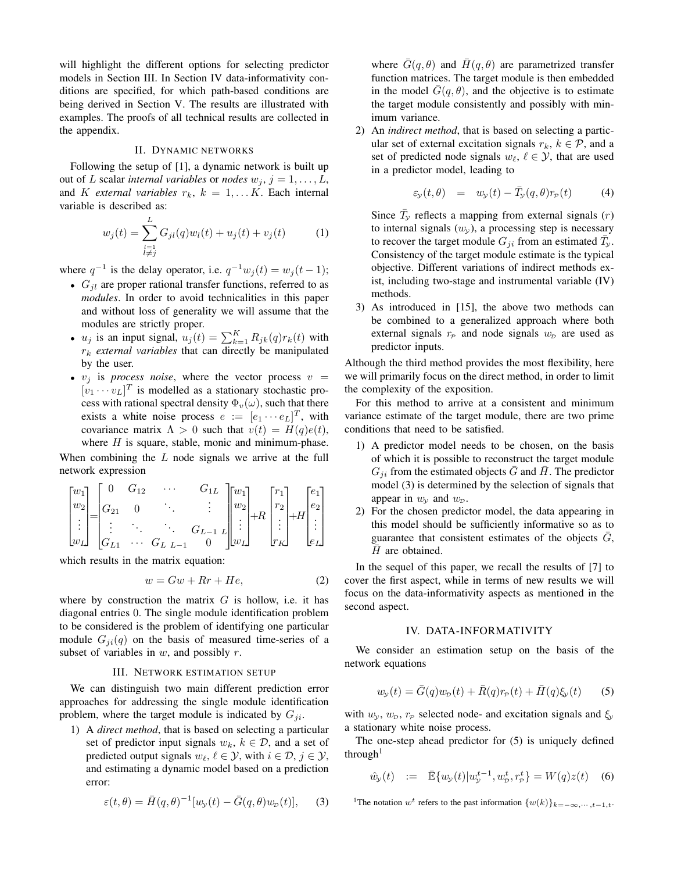will highlight the different options for selecting predictor models in Section III. In Section IV data-informativity conditions are specified, for which path-based conditions are being derived in Section V. The results are illustrated with examples. The proofs of all technical results are collected in the appendix.

#### II. DYNAMIC NETWORKS

Following the setup of [1], a dynamic network is built up out of L scalar *internal variables* or *nodes*  $w_j$ ,  $j = 1, \ldots, L$ , and *K* external variables  $r_k$ ,  $k = 1, \dots K$ . Each internal variable is described as:

$$
w_j(t) = \sum_{\substack{l=1\\l \neq j}}^L G_{jl}(q)w_l(t) + u_j(t) + v_j(t)
$$
 (1)

where  $q^{-1}$  is the delay operator, i.e.  $q^{-1}w_j(t) = w_j(t-1)$ ;

- $G_{il}$  are proper rational transfer functions, referred to as *modules*. In order to avoid technicalities in this paper and without loss of generality we will assume that the modules are strictly proper.
- $u_j$  is an input signal,  $u_j(t) = \sum_{k=1}^K R_{jk}(q) r_k(t)$  with  $r_k$  *external variables* that can directly be manipulated by the user.
- $v_i$  is *process noise*, where the vector process  $v =$  $[v_1 \cdots v_L]^T$  is modelled as a stationary stochastic process with rational spectral density  $\Phi_v(\omega)$ , such that there exists a white noise process  $e := [e_1 \cdots e_L]^T$ , with covariance matrix  $\Lambda > 0$  such that  $v(t) = H(q)e(t)$ , where  $H$  is square, stable, monic and minimum-phase.

When combining the  $L$  node signals we arrive at the full network expression

$$
\begin{bmatrix} w_1 \\ w_2 \\ \vdots \\ w_L \end{bmatrix} = \begin{bmatrix} 0 & G_{12} & \cdots & G_{1L} \\ G_{21} & 0 & \ddots & \vdots \\ \vdots & \ddots & \ddots & G_{L-1} \\ G_{L1} & \cdots & G_{L} & L-1 & 0 \end{bmatrix} \begin{bmatrix} w_1 \\ w_2 \\ \vdots \\ w_L \end{bmatrix} + R \begin{bmatrix} r_1 \\ r_2 \\ \vdots \\ r_K \end{bmatrix} + H \begin{bmatrix} e_1 \\ e_2 \\ \vdots \\ e_L \end{bmatrix}
$$

which results in the matrix equation:

$$
w = Gw + Rr + He,\t\t(2)
$$

where by construction the matrix  $G$  is hollow, i.e. it has diagonal entries 0. The single module identification problem to be considered is the problem of identifying one particular module  $G_{ji}(q)$  on the basis of measured time-series of a subset of variables in  $w$ , and possibly  $r$ .

#### III. NETWORK ESTIMATION SETUP

We can distinguish two main different prediction error approaches for addressing the single module identification problem, where the target module is indicated by  $G_{ji}$ .

1) A *direct method*, that is based on selecting a particular set of predictor input signals  $w_k$ ,  $k \in \mathcal{D}$ , and a set of predicted output signals  $w_{\ell}, \ell \in \mathcal{Y}$ , with  $i \in \mathcal{D}, j \in \mathcal{Y}$ , and estimating a dynamic model based on a prediction error:

$$
\varepsilon(t,\theta) = \bar{H}(q,\theta)^{-1}[w_{\mathcal{Y}}(t) - \bar{G}(q,\theta)w_{\mathcal{D}}(t)],\qquad(3)
$$

where  $\bar{G}(q, \theta)$  and  $\bar{H}(q, \theta)$  are parametrized transfer function matrices. The target module is then embedded in the model  $\bar{G}(q, \theta)$ , and the objective is to estimate the target module consistently and possibly with minimum variance.

2) An *indirect method*, that is based on selecting a particular set of external excitation signals  $r_k$ ,  $k \in \mathcal{P}$ , and a set of predicted node signals  $w_{\ell}, \ell \in \mathcal{Y}$ , that are used in a predictor model, leading to

$$
\varepsilon_{\mathcal{Y}}(t,\theta) = w_{\mathcal{Y}}(t) - \bar{T}_{\mathcal{Y}}(q,\theta)r_{\mathcal{P}}(t) \tag{4}
$$

Since  $\bar{T}_y$  reflects a mapping from external signals (r) to internal signals  $(w_y)$ , a processing step is necessary to recover the target module  $G_{ji}$  from an estimated  $\overline{T}_y$ . Consistency of the target module estimate is the typical objective. Different variations of indirect methods exist, including two-stage and instrumental variable (IV) methods.

3) As introduced in [15], the above two methods can be combined to a generalized approach where both external signals  $r_P$  and node signals  $w_D$  are used as predictor inputs.

Although the third method provides the most flexibility, here we will primarily focus on the direct method, in order to limit the complexity of the exposition.

For this method to arrive at a consistent and minimum variance estimate of the target module, there are two prime conditions that need to be satisfied.

- 1) A predictor model needs to be chosen, on the basis of which it is possible to reconstruct the target module  $G_{ji}$  from the estimated objects G and H. The predictor model (3) is determined by the selection of signals that appear in  $w_{\nu}$  and  $w_{\nu}$ .
- 2) For the chosen predictor model, the data appearing in this model should be sufficiently informative so as to guarantee that consistent estimates of the objects  $\overline{G}$ ,  $\bar{H}$  are obtained.

In the sequel of this paper, we recall the results of [7] to cover the first aspect, while in terms of new results we will focus on the data-informativity aspects as mentioned in the second aspect.

#### IV. DATA-INFORMATIVITY

We consider an estimation setup on the basis of the network equations

$$
w_{\mathcal{Y}}(t) = \bar{G}(q)w_{\mathcal{D}}(t) + \bar{R}(q)r_{\mathcal{P}}(t) + \bar{H}(q)\xi_{\mathcal{Y}}(t)
$$
 (5)

with  $w_y$ ,  $w_p$ ,  $r_p$  selected node- and excitation signals and  $\xi_y$ a stationary white noise process.

The one-step ahead predictor for (5) is uniquely defined through<sup>1</sup>

$$
\hat{w}_y(t) := \bar{\mathbb{E}}\{w_y(t)|w_y^{t-1}, w_p^t, r_p^t\} = W(q)z(t) \quad (6)
$$

<sup>1</sup>The notation  $w^t$  refers to the past information  $\{w(k)\}_{k=-\infty,\dots,t-1,t}$ .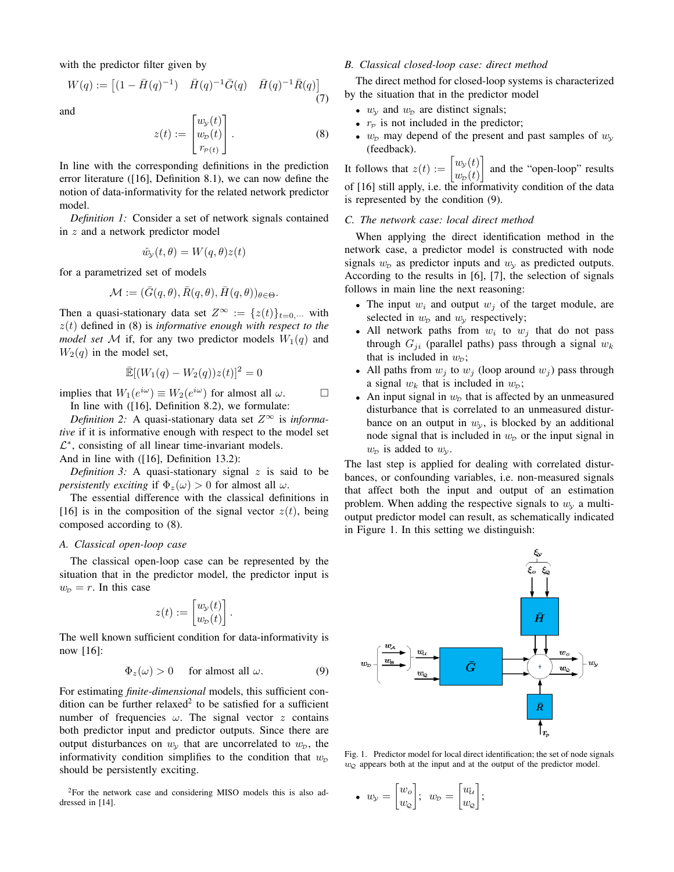with the predictor filter given by

$$
W(q) := \begin{bmatrix} (1 - \bar{H}(q)^{-1}) & \bar{H}(q)^{-1} \bar{G}(q) & \bar{H}(q)^{-1} \bar{R}(q) \end{bmatrix}
$$
\n(7)

and

$$
z(t) := \begin{bmatrix} w_{\mathcal{Y}}(t) \\ w_{\mathcal{D}}(t) \\ r_{\mathcal{P}(t)} \end{bmatrix} . \tag{8}
$$

In line with the corresponding definitions in the prediction error literature ([16], Definition 8.1), we can now define the notion of data-informativity for the related network predictor model.

*Definition 1:* Consider a set of network signals contained in z and a network predictor model

$$
\hat{w}_y(t,\theta) = W(q,\theta)z(t)
$$

for a parametrized set of models

$$
\mathcal{M} := (\bar{G}(q, \theta), \bar{R}(q, \theta), \bar{H}(q, \theta))_{\theta \in \Theta}.
$$

Then a quasi-stationary data set  $Z^{\infty} := \{z(t)\}_{t=0,\cdots}$  with z(t) defined in (8) is *informative enough with respect to the model set* M if, for any two predictor models  $W_1(q)$  and  $W_2(q)$  in the model set,

$$
\mathbb{E}[(W_1(q) - W_2(q))z(t)]^2 = 0
$$

implies that  $W_1(e^{i\omega}) \equiv W_2(e^{i\omega})$  for almost all  $\omega$ .

In line with ([16], Definition 8.2), we formulate:

*Definition 2:* A quasi-stationary data set  $Z^{\infty}$  is *informative* if it is informative enough with respect to the model set  $\mathcal{L}^*$ , consisting of all linear time-invariant models. And in line with ([16], Definition 13.2):

*Definition 3:* A quasi-stationary signal  $z$  is said to be *persistently exciting* if  $\Phi_z(\omega) > 0$  for almost all  $\omega$ .

The essential difference with the classical definitions in [16] is in the composition of the signal vector  $z(t)$ , being composed according to (8).

#### *A. Classical open-loop case*

The classical open-loop case can be represented by the situation that in the predictor model, the predictor input is  $w_p = r$ . In this case

$$
z(t) := \begin{bmatrix} w_{\mathcal{Y}}(t) \\ w_{\mathcal{D}}(t) \end{bmatrix}.
$$

The well known sufficient condition for data-informativity is now [16]:

$$
\Phi_z(\omega) > 0 \quad \text{for almost all } \omega. \tag{9}
$$

For estimating *finite-dimensional* models, this sufficient condition can be further relaxed<sup>2</sup> to be satisfied for a sufficient number of frequencies  $\omega$ . The signal vector z contains both predictor input and predictor outputs. Since there are output disturbances on  $w_y$  that are uncorrelated to  $w_p$ , the informativity condition simplifies to the condition that  $w<sub>D</sub>$ should be persistently exciting.

## *B. Classical closed-loop case: direct method*

The direct method for closed-loop systems is characterized by the situation that in the predictor model

- $w_{\gamma}$  and  $w_{\gamma}$  are distinct signals;
- $r_P$  is not included in the predictor;
- $w<sub>p</sub>$  may depend of the present and past samples of  $w<sub>y</sub>$ (feedback).

It follows that  $z(t) := \begin{bmatrix} w_y(t) \\ w_y(t) \end{bmatrix}$  $w_{\mathcal{D}}(t)$ and the "open-loop" results of [16] still apply, i.e. the informativity condition of the data is represented by the condition (9).

#### *C. The network case: local direct method*

When applying the direct identification method in the network case, a predictor model is constructed with node signals  $w<sub>D</sub>$  as predictor inputs and  $w<sub>y</sub>$  as predicted outputs. According to the results in [6], [7], the selection of signals follows in main line the next reasoning:

- The input  $w_i$  and output  $w_j$  of the target module, are selected in  $w<sub>D</sub>$  and  $w<sub>y</sub>$  respectively;
- All network paths from  $w_i$  to  $w_j$  that do not pass through  $G_{ji}$  (parallel paths) pass through a signal  $w_k$ that is included in  $w_{\text{D}}$ ;
- All paths from  $w_i$  to  $w_j$  (loop around  $w_j$ ) pass through a signal  $w_k$  that is included in  $w_p$ ;
- An input signal in  $w<sub>p</sub>$  that is affected by an unmeasured disturbance that is correlated to an unmeasured disturbance on an output in  $w<sub>v</sub>$ , is blocked by an additional node signal that is included in  $w<sub>D</sub>$  or the input signal in  $w_{\mathcal{D}}$  is added to  $w_{\mathcal{Y}}$ .

The last step is applied for dealing with correlated disturbances, or confounding variables, i.e. non-measured signals that affect both the input and output of an estimation problem. When adding the respective signals to  $w<sub>v</sub>$  a multioutput predictor model can result, as schematically indicated in Figure 1. In this setting we distinguish:



Fig. 1. Predictor model for local direct identification; the set of node signals  $w_{\mathcal{Q}}$  appears both at the input and at the output of the predictor model.

• 
$$
w_{\mathcal{Y}} = \begin{bmatrix} w_o \\ w_{\mathcal{Q}} \end{bmatrix}; w_p = \begin{bmatrix} u_{\mathcal{U}} \\ w_{\mathcal{Q}} \end{bmatrix};
$$

<sup>2</sup>For the network case and considering MISO models this is also addressed in [14].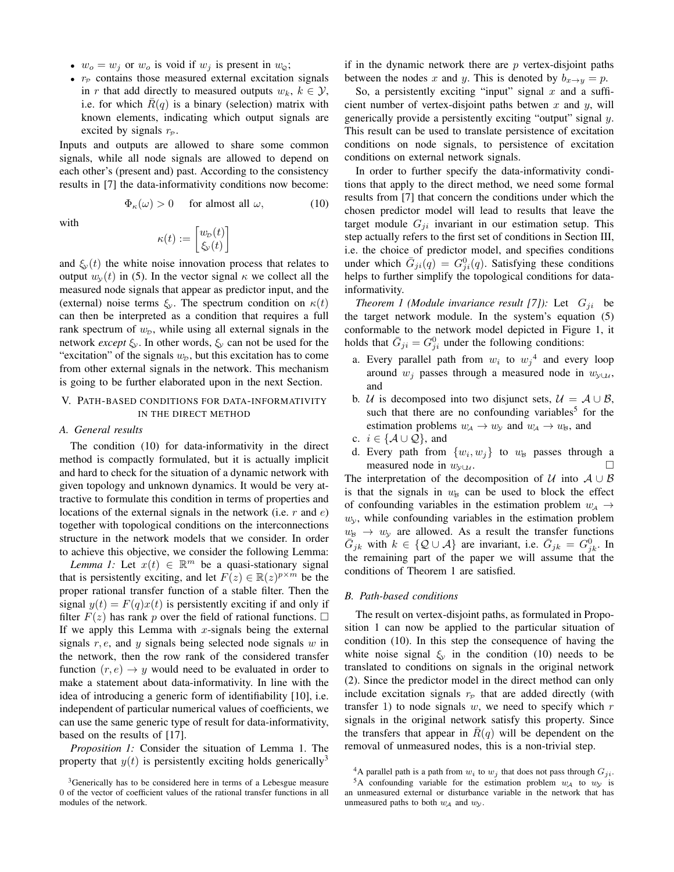- $w_o = w_j$  or  $w_o$  is void if  $w_j$  is present in  $w_{\mathcal{Q}}$ ;
- $r_P$  contains those measured external excitation signals in r that add directly to measured outputs  $w_k$ ,  $k \in \mathcal{Y}$ , i.e. for which  $R(q)$  is a binary (selection) matrix with known elements, indicating which output signals are excited by signals  $r<sub>p</sub>$ .

Inputs and outputs are allowed to share some common signals, while all node signals are allowed to depend on each other's (present and) past. According to the consistency results in [7] the data-informativity conditions now become:

$$
\Phi_{\kappa}(\omega) > 0 \quad \text{for almost all } \omega,
$$
\n(10)

with

$$
\kappa(t) := \begin{bmatrix} w_{\mathcal{D}}(t) \\ \xi_{\mathcal{D}}(t) \end{bmatrix}
$$

and  $\xi_v(t)$  the white noise innovation process that relates to output  $w_{\nu}(t)$  in (5). In the vector signal  $\kappa$  we collect all the measured node signals that appear as predictor input, and the (external) noise terms  $\xi_y$ . The spectrum condition on  $\kappa(t)$ can then be interpreted as a condition that requires a full rank spectrum of  $w<sub>p</sub>$ , while using all external signals in the network *except*  $\xi_y$ . In other words,  $\xi_y$  can not be used for the "excitation" of the signals  $w<sub>D</sub>$ , but this excitation has to come from other external signals in the network. This mechanism is going to be further elaborated upon in the next Section.

# V. PATH-BASED CONDITIONS FOR DATA-INFORMATIVITY IN THE DIRECT METHOD

# *A. General results*

The condition (10) for data-informativity in the direct method is compactly formulated, but it is actually implicit and hard to check for the situation of a dynamic network with given topology and unknown dynamics. It would be very attractive to formulate this condition in terms of properties and locations of the external signals in the network (i.e.  $r$  and  $e$ ) together with topological conditions on the interconnections structure in the network models that we consider. In order to achieve this objective, we consider the following Lemma:

*Lemma 1:* Let  $x(t) \in \mathbb{R}^m$  be a quasi-stationary signal that is persistently exciting, and let  $F(z) \in \mathbb{R}(z)^{p \times m}$  be the proper rational transfer function of a stable filter. Then the signal  $y(t) = F(q)x(t)$  is persistently exciting if and only if filter  $F(z)$  has rank p over the field of rational functions.  $\Box$ If we apply this Lemma with  $x$ -signals being the external signals  $r, e$ , and  $y$  signals being selected node signals  $w$  in the network, then the row rank of the considered transfer function  $(r, e) \rightarrow y$  would need to be evaluated in order to make a statement about data-informativity. In line with the idea of introducing a generic form of identifiability [10], i.e. independent of particular numerical values of coefficients, we can use the same generic type of result for data-informativity, based on the results of [17].

*Proposition 1:* Consider the situation of Lemma 1. The property that  $y(t)$  is persistently exciting holds generically<sup>3</sup>

if in the dynamic network there are  $p$  vertex-disjoint paths between the nodes x and y. This is denoted by  $b_{x\to y} = p$ .

So, a persistently exciting "input" signal  $x$  and a sufficient number of vertex-disjoint paths betwen  $x$  and  $y$ , will generically provide a persistently exciting "output" signal y. This result can be used to translate persistence of excitation conditions on node signals, to persistence of excitation conditions on external network signals.

In order to further specify the data-informativity conditions that apply to the direct method, we need some formal results from [7] that concern the conditions under which the chosen predictor model will lead to results that leave the target module  $G_{ji}$  invariant in our estimation setup. This step actually refers to the first set of conditions in Section III, i.e. the choice of predictor model, and specifies conditions under which  $\bar{G}_{ji}(q) = G_{ji}^{0}(q)$ . Satisfying these conditions helps to further simplify the topological conditions for datainformativity.

*Theorem 1 (Module invariance result [7]):* Let  $G_{ji}$  be the target network module. In the system's equation (5) conformable to the network model depicted in Figure 1, it holds that  $\bar{G}_{ji} = G_{ji}^0$  under the following conditions:

- a. Every parallel path from  $w_i$  to  $w_j^4$  and every loop around  $w_i$  passes through a measured node in  $w_{\gamma\cup\mathcal{U}}$ , and
- b. *U* is decomposed into two disjunct sets,  $U = A \cup B$ , such that there are no confounding variables<sup>5</sup> for the estimation problems  $w_A \rightarrow w_y$  and  $w_A \rightarrow w_B$ , and
- c.  $i \in \{A \cup Q\}$ , and
- d. Every path from  $\{w_i, w_j\}$  to  $w_B$  passes through a measured node in  $w_{y\cup u}$ .  $\Box$

The interpretation of the decomposition of U into  $A \cup B$ is that the signals in  $w_B$  can be used to block the effect of confounding variables in the estimation problem  $w_A \rightarrow$  $w<sub>y</sub>$ , while confounding variables in the estimation problem  $w_B \rightarrow w_y$  are allowed. As a result the transfer functions  $\overline{G}_{jk}$  with  $k \in \{Q \cup A\}$  are invariant, i.e.  $\overline{G}_{jk} = G_{jk}^0$ . In the remaining part of the paper we will assume that the conditions of Theorem 1 are satisfied.

## *B. Path-based conditions*

The result on vertex-disjoint paths, as formulated in Proposition 1 can now be applied to the particular situation of condition (10). In this step the consequence of having the white noise signal  $\xi_y$  in the condition (10) needs to be translated to conditions on signals in the original network (2). Since the predictor model in the direct method can only include excitation signals  $r_P$  that are added directly (with transfer 1) to node signals  $w$ , we need to specify which  $r$ signals in the original network satisfy this property. Since the transfers that appear in  $\overline{R}(q)$  will be dependent on the removal of unmeasured nodes, this is a non-trivial step.

<sup>&</sup>lt;sup>3</sup>Generically has to be considered here in terms of a Lebesgue measure 0 of the vector of coefficient values of the rational transfer functions in all modules of the network.

<sup>&</sup>lt;sup>4</sup>A parallel path is a path from  $w_i$  to  $w_j$  that does not pass through  $G_{ji}$ .

<sup>&</sup>lt;sup>5</sup>A confounding variable for the estimation problem  $w_A$  to  $w_y$  is an unmeasured external or disturbance variable in the network that has unmeasured paths to both  $w_A$  and  $w_Y$ .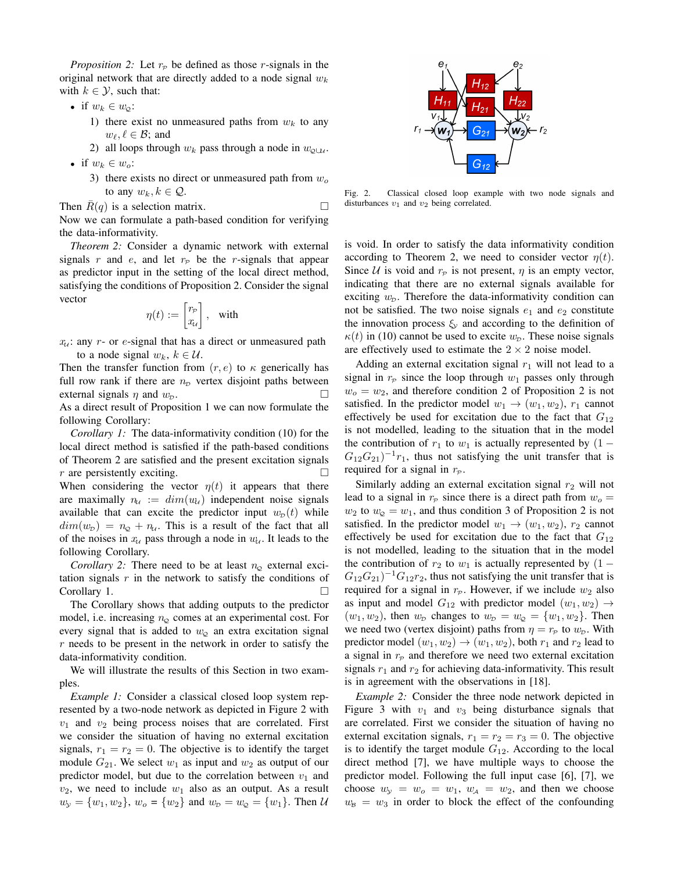*Proposition 2:* Let  $r_P$  be defined as those r-signals in the original network that are directly added to a node signal  $w_k$ with  $k \in \mathcal{Y}$ , such that:

- if  $w_k \in w_{\mathcal{Q}}$ :
	- 1) there exist no unmeasured paths from  $w_k$  to any  $w_{\ell}, \ell \in \mathcal{B}$ ; and
	- 2) all loops through  $w_k$  pass through a node in  $w_{\phi\downarrow\mu}$ .
- if  $w_k \in w_o$ :
	- 3) there exists no direct or unmeasured path from  $w<sub>o</sub>$ to any  $w_k, k \in \mathcal{Q}$ .

Then  $\overline{R}(q)$  is a selection matrix. Now we can formulate a path-based condition for verifying the data-informativity.

*Theorem 2:* Consider a dynamic network with external signals r and e, and let  $r_p$  be the r-signals that appear as predictor input in the setting of the local direct method, satisfying the conditions of Proposition 2. Consider the signal vector

$$
\eta(t) := \begin{bmatrix} r_{\mathcal{P}} \\ x_{\mathcal{U}} \end{bmatrix}, \quad \text{with} \quad
$$

 $x_u$ : any r- or e-signal that has a direct or unmeasured path to a node signal  $w_k$ ,  $k \in \mathcal{U}$ .

Then the transfer function from  $(r, e)$  to  $\kappa$  generically has full row rank if there are  $n<sub>D</sub>$  vertex disjoint paths between external signals  $\eta$  and  $w_p$ .

As a direct result of Proposition 1 we can now formulate the following Corollary:

*Corollary 1:* The data-informativity condition (10) for the local direct method is satisfied if the path-based conditions of Theorem 2 are satisfied and the present excitation signals r are persistently exciting.  $\Box$ When considering the vector  $\eta(t)$  it appears that there are maximally  $n_{\ell} := dim(w_{\ell})$  independent noise signals available that can excite the predictor input  $w<sub>p</sub>(t)$  while  $dim(w_D) = n_Q + n_U$ . This is a result of the fact that all of the noises in  $x_u$  pass through a node in  $w_u$ . It leads to the following Corollary.

*Corollary 2:* There need to be at least  $n_{\Omega}$  external excitation signals  $r$  in the network to satisfy the conditions of Corollary 1.

The Corollary shows that adding outputs to the predictor model, i.e. increasing  $n_{\mathcal{Q}}$  comes at an experimental cost. For every signal that is added to  $w<sub>o</sub>$  an extra excitation signal  $r$  needs to be present in the network in order to satisfy the data-informativity condition.

We will illustrate the results of this Section in two examples.

*Example 1:* Consider a classical closed loop system represented by a two-node network as depicted in Figure 2 with  $v_1$  and  $v_2$  being process noises that are correlated. First we consider the situation of having no external excitation signals,  $r_1 = r_2 = 0$ . The objective is to identify the target module  $G_{21}$ . We select  $w_1$  as input and  $w_2$  as output of our predictor model, but due to the correlation between  $v_1$  and  $v_2$ , we need to include  $w_1$  also as an output. As a result  $w_y = \{w_1, w_2\}, w_o = \{w_2\}$  and  $w_p = w_q = \{w_1\}.$  Then U



Fig. 2. Classical closed loop example with two node signals and disturbances  $v_1$  and  $v_2$  being correlated.

is void. In order to satisfy the data informativity condition according to Theorem 2, we need to consider vector  $\eta(t)$ . Since U is void and  $r_p$  is not present,  $\eta$  is an empty vector, indicating that there are no external signals available for exciting  $w<sub>p</sub>$ . Therefore the data-informativity condition can not be satisfied. The two noise signals  $e_1$  and  $e_2$  constitute the innovation process  $\xi$  and according to the definition of  $\kappa(t)$  in (10) cannot be used to excite  $w_{\text{D}}$ . These noise signals are effectively used to estimate the  $2 \times 2$  noise model.

Adding an external excitation signal  $r_1$  will not lead to a signal in  $r_{\rm p}$  since the loop through  $w_1$  passes only through  $w_0 = w_2$ , and therefore condition 2 of Proposition 2 is not satisfied. In the predictor model  $w_1 \rightarrow (w_1, w_2)$ ,  $r_1$  cannot effectively be used for excitation due to the fact that  $G_{12}$ is not modelled, leading to the situation that in the model the contribution of  $r_1$  to  $w_1$  is actually represented by  $(1 G_{12}G_{21}$ )<sup>-1</sup> $r_1$ , thus not satisfying the unit transfer that is required for a signal in  $r_p$ .

Similarly adding an external excitation signal  $r_2$  will not lead to a signal in  $r_P$  since there is a direct path from  $w_o =$  $w_2$  to  $w_2 = w_1$ , and thus condition 3 of Proposition 2 is not satisfied. In the predictor model  $w_1 \rightarrow (w_1, w_2)$ ,  $r_2$  cannot effectively be used for excitation due to the fact that  $G_{12}$ is not modelled, leading to the situation that in the model the contribution of  $r_2$  to  $w_1$  is actually represented by  $(1 G_{12}G_{21}$ )<sup>-1</sup> $G_{12}r_2$ , thus not satisfying the unit transfer that is required for a signal in  $r_P$ . However, if we include  $w_2$  also as input and model  $G_{12}$  with predictor model  $(w_1, w_2) \rightarrow$  $(w_1, w_2)$ , then  $w_D$  changes to  $w_D = w_Q = \{w_1, w_2\}$ . Then we need two (vertex disjoint) paths from  $\eta = r_P$  to  $w_D$ . With predictor model  $(w_1, w_2) \rightarrow (w_1, w_2)$ , both  $r_1$  and  $r_2$  lead to a signal in  $r_p$  and therefore we need two external excitation signals  $r_1$  and  $r_2$  for achieving data-informativity. This result is in agreement with the observations in [18].

*Example 2:* Consider the three node network depicted in Figure 3 with  $v_1$  and  $v_3$  being disturbance signals that are correlated. First we consider the situation of having no external excitation signals,  $r_1 = r_2 = r_3 = 0$ . The objective is to identify the target module  $G_{12}$ . According to the local direct method [7], we have multiple ways to choose the predictor model. Following the full input case [6], [7], we choose  $w_y = w_o = w_1$ ,  $w_A = w_2$ , and then we choose  $w_B = w_3$  in order to block the effect of the confounding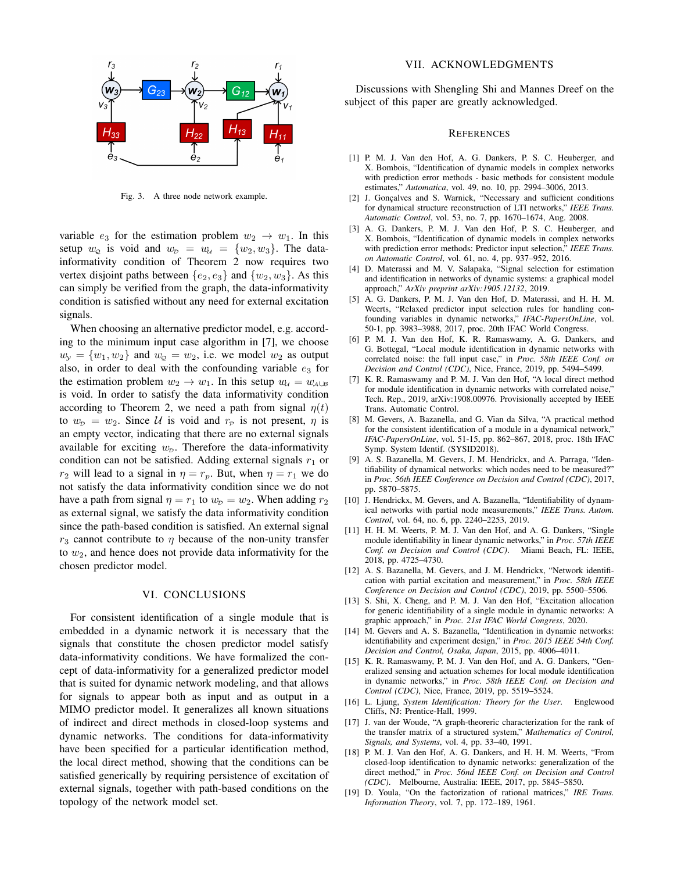

Fig. 3. A three node network example.

variable  $e_3$  for the estimation problem  $w_2 \rightarrow w_1$ . In this setup  $w_0$  is void and  $w_p = w_{11} = \{w_2, w_3\}$ . The datainformativity condition of Theorem 2 now requires two vertex disjoint paths between  $\{e_2, e_3\}$  and  $\{w_2, w_3\}$ . As this can simply be verified from the graph, the data-informativity condition is satisfied without any need for external excitation signals.

When choosing an alternative predictor model, e.g. according to the minimum input case algorithm in [7], we choose  $w_y = \{w_1, w_2\}$  and  $w_2 = w_2$ , i.e. we model  $w_2$  as output also, in order to deal with the confounding variable  $e_3$  for the estimation problem  $w_2 \to w_1$ . In this setup  $w_{\mathcal{U}} = w_{\mathcal{A} \cup \mathcal{B}}$ is void. In order to satisfy the data informativity condition according to Theorem 2, we need a path from signal  $\eta(t)$ to  $w_p = w_2$ . Since U is void and  $r_p$  is not present,  $\eta$  is an empty vector, indicating that there are no external signals available for exciting  $w<sub>p</sub>$ . Therefore the data-informativity condition can not be satisfied. Adding external signals  $r_1$  or  $r_2$  will lead to a signal in  $\eta = r_p$ . But, when  $\eta = r_1$  we do not satisfy the data informativity condition since we do not have a path from signal  $\eta = r_1$  to  $w_p = w_2$ . When adding  $r_2$ as external signal, we satisfy the data informativity condition since the path-based condition is satisfied. An external signal  $r_3$  cannot contribute to  $\eta$  because of the non-unity transfer to  $w_2$ , and hence does not provide data informativity for the chosen predictor model.

## VI. CONCLUSIONS

For consistent identification of a single module that is embedded in a dynamic network it is necessary that the signals that constitute the chosen predictor model satisfy data-informativity conditions. We have formalized the concept of data-informativity for a generalized predictor model that is suited for dynamic network modeling, and that allows for signals to appear both as input and as output in a MIMO predictor model. It generalizes all known situations of indirect and direct methods in closed-loop systems and dynamic networks. The conditions for data-informativity have been specified for a particular identification method, the local direct method, showing that the conditions can be satisfied generically by requiring persistence of excitation of external signals, together with path-based conditions on the topology of the network model set.

## VII. ACKNOWLEDGMENTS

Discussions with Shengling Shi and Mannes Dreef on the subject of this paper are greatly acknowledged.

#### **REFERENCES**

- [1] P. M. J. Van den Hof, A. G. Dankers, P. S. C. Heuberger, and X. Bombois, "Identification of dynamic models in complex networks with prediction error methods - basic methods for consistent module estimates," *Automatica*, vol. 49, no. 10, pp. 2994–3006, 2013.
- [2] J. Gonçalves and S. Warnick, "Necessary and sufficient conditions for dynamical structure reconstruction of LTI networks," *IEEE Trans. Automatic Control*, vol. 53, no. 7, pp. 1670–1674, Aug. 2008.
- [3] A. G. Dankers, P. M. J. Van den Hof, P. S. C. Heuberger, and X. Bombois, "Identification of dynamic models in complex networks with prediction error methods: Predictor input selection," *IEEE Trans. on Automatic Control*, vol. 61, no. 4, pp. 937–952, 2016.
- [4] D. Materassi and M. V. Salapaka, "Signal selection for estimation and identification in networks of dynamic systems: a graphical model approach," *ArXiv preprint arXiv:1905.12132*, 2019.
- [5] A. G. Dankers, P. M. J. Van den Hof, D. Materassi, and H. H. M. Weerts, "Relaxed predictor input selection rules for handling confounding variables in dynamic networks," *IFAC-PapersOnLine*, vol. 50-1, pp. 3983–3988, 2017, proc. 20th IFAC World Congress.
- [6] P. M. J. Van den Hof, K. R. Ramaswamy, A. G. Dankers, and G. Bottegal, "Local module identification in dynamic networks with correlated noise: the full input case," in *Proc. 58th IEEE Conf. on Decision and Control (CDC)*, Nice, France, 2019, pp. 5494–5499.
- [7] K. R. Ramaswamy and P. M. J. Van den Hof, "A local direct method for module identification in dynamic networks with correlated noise, Tech. Rep., 2019, arXiv:1908.00976. Provisionally accepted by IEEE Trans. Automatic Control.
- [8] M. Gevers, A. Bazanella, and G. Vian da Silva, "A practical method for the consistent identification of a module in a dynamical network," *IFAC-PapersOnLine*, vol. 51-15, pp. 862–867, 2018, proc. 18th IFAC Symp. System Identif. (SYSID2018).
- [9] A. S. Bazanella, M. Gevers, J. M. Hendrickx, and A. Parraga, "Identifiability of dynamical networks: which nodes need to be measured?" in *Proc. 56th IEEE Conference on Decision and Control (CDC)*, 2017, pp. 5870–5875.
- [10] J. Hendrickx, M. Gevers, and A. Bazanella, "Identifiability of dynamical networks with partial node measurements," *IEEE Trans. Autom. Control*, vol. 64, no. 6, pp. 2240–2253, 2019.
- [11] H. H. M. Weerts, P. M. J. Van den Hof, and A. G. Dankers, "Single module identifiability in linear dynamic networks," in *Proc. 57th IEEE Conf. on Decision and Control (CDC)*. Miami Beach, FL: IEEE, 2018, pp. 4725–4730.
- [12] A. S. Bazanella, M. Gevers, and J. M. Hendrickx, "Network identification with partial excitation and measurement," in *Proc. 58th IEEE Conference on Decision and Control (CDC)*, 2019, pp. 5500–5506.
- [13] S. Shi, X. Cheng, and P. M. J. Van den Hof, "Excitation allocation for generic identifiability of a single module in dynamic networks: A graphic approach," in *Proc. 21st IFAC World Congress*, 2020.
- [14] M. Gevers and A. S. Bazanella, "Identification in dynamic networks: identifiability and experiment design," in *Proc. 2015 IEEE 54th Conf. Decision and Control, Osaka, Japan*, 2015, pp. 4006–4011.
- [15] K. R. Ramaswamy, P. M. J. Van den Hof, and A. G. Dankers, "Generalized sensing and actuation schemes for local module identification in dynamic networks," in *Proc. 58th IEEE Conf. on Decision and Control (CDC)*, Nice, France, 2019, pp. 5519–5524.
- [16] L. Ljung, *System Identification: Theory for the User*. Englewood Cliffs, NJ: Prentice-Hall, 1999.
- [17] J. van der Woude, "A graph-theoreric characterization for the rank of the transfer matrix of a structured system," *Mathematics of Control, Signals, and Systems*, vol. 4, pp. 33–40, 1991.
- [18] P. M. J. Van den Hof, A. G. Dankers, and H. H. M. Weerts, "From closed-loop identification to dynamic networks: generalization of the direct method," in *Proc. 56nd IEEE Conf. on Decision and Control (CDC)*. Melbourne, Australia: IEEE, 2017, pp. 5845–5850.
- [19] D. Youla, "On the factorization of rational matrices," *IRE Trans. Information Theory*, vol. 7, pp. 172–189, 1961.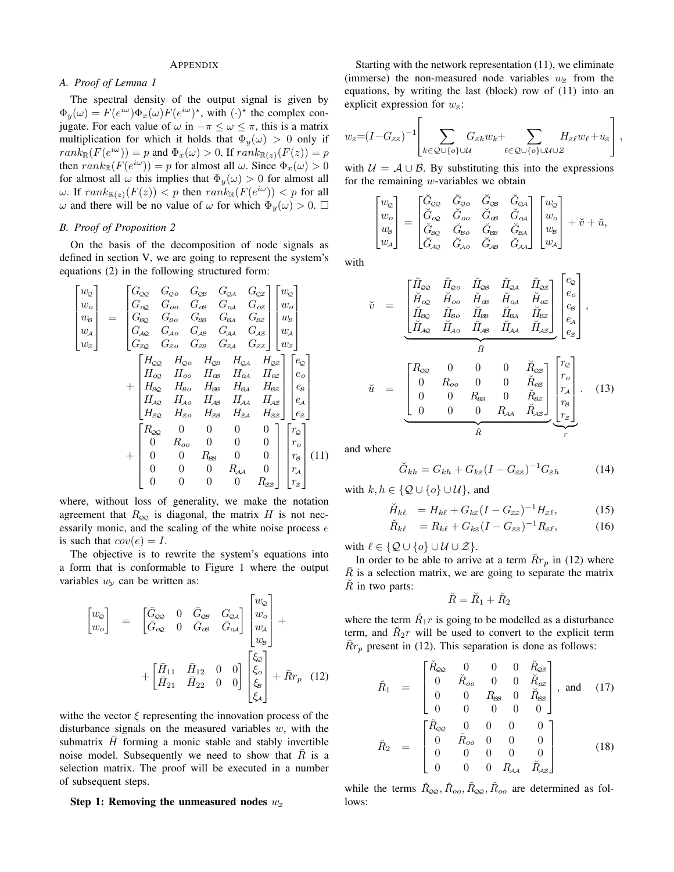#### APPENDIX

# *A. Proof of Lemma 1*

The spectral density of the output signal is given by  $\Phi_y(\omega) = F(e^{i\omega})\Phi_x(\omega)F(e^{i\omega})^*$ , with  $(\cdot)^*$  the complex conjugate. For each value of  $\omega$  in  $-\pi \leq \omega \leq \pi$ , this is a matrix multiplication for which it holds that  $\Phi_y(\omega) > 0$  only if  $rank_{\mathbb{R}}(F(e^{i\omega})) = p$  and  $\Phi_x(\omega) > 0$ . If  $rank_{\mathbb{R}(z)}(F(z)) = p$ then  $rank_{\mathbb{R}}(F(e^{i\omega})) = p$  for almost all  $\omega$ . Since  $\Phi_x(\omega) > 0$ for almost all  $\omega$  this implies that  $\Phi_y(\omega) > 0$  for almost all  $\omega$ . If  $rank_{\mathbb{R}(z)}(F(z)) < p$  then  $rank_{\mathbb{R}}(F(e^{i\omega})) < p$  for all ω and there will be no value of ω for which  $\Phi_y(\omega) > 0$ .  $\Box$ 

#### *B. Proof of Proposition 2*

On the basis of the decomposition of node signals as defined in section V, we are going to represent the system's equations (2) in the following structured form:

$$
\begin{bmatrix}\nw_2 \\
w_0 \\
w_8 \\
w_4 \\
w_5\n\end{bmatrix} = \begin{bmatrix}\nG_{\infty} & G_{\infty} & G_{\infty} & G_{\infty} & G_{\infty} & G_{\infty} \\
G_{\infty} & G_{\infty} & G_{\infty} & G_{\infty} & G_{\infty} \\
G_{\infty} & G_{\infty} & G_{\infty} & G_{\infty} & G_{\infty} \\
G_{\infty} & G_{\infty} & G_{\infty} & G_{\infty} & G_{\infty} \\
G_{\infty} & G_{\infty} & G_{\infty} & G_{\infty} & G_{\infty} \\
G_{\infty} & G_{\infty} & G_{\infty} & G_{\infty} & G_{\infty} \\
H_{\infty} & H_{\infty} & H_{\infty} & H_{\infty} & H_{\infty} \\
H_{\infty} & H_{\infty} & H_{\infty} & H_{\infty} & H_{\infty} \\
H_{\infty} & H_{\infty} & H_{\infty} & H_{\infty} & H_{\infty} \\
H_{\infty} & H_{\infty} & H_{\infty} & H_{\infty} & H_{\infty} \\
H_{\infty} & H_{\infty} & H_{\infty} & H_{\infty} & H_{\infty} \\
H_{\infty} & H_{\infty} & H_{\infty} & H_{\infty} & H_{\infty} \\
H_{\infty} & G_{\infty} & G_{\infty} & G_{\infty} & G_{\infty} \\
H_{\infty} & G_{\infty} & G_{\infty} & G_{\infty} & G_{\infty} \\
H_{\infty} & H_{\infty} & H_{\infty} & H_{\infty} & H_{\infty} \\
H_{\infty} & H_{\infty} & H_{\infty} & H_{\infty} & H_{\infty} \\
H_{\infty} & G_{\infty} & G_{\infty} & G_{\infty} & G_{\infty} \\
H_{\infty} & G_{\infty} & G_{\infty} & G_{\infty} & G_{\infty} \\
H_{\infty} & H_{\infty} & H_{\infty} & H_{\infty} & H_{\infty} \\
H_{\infty} & H_{\infty} & H_{\infty} & H_{\infty} & H_{\infty} \\
H_{\infty} & G_{\infty}
$$

where, without loss of generality, we make the notation agreement that  $R_{\text{QQ}}$  is diagonal, the matrix H is not necessarily monic, and the scaling of the white noise process e is such that  $cov(e) = I$ .

The objective is to rewrite the system's equations into a form that is conformable to Figure 1 where the output variables  $w_y$  can be written as:

$$
\begin{bmatrix} w_{\mathcal{Q}} \\ w_{o} \end{bmatrix} = \begin{bmatrix} \bar{G}_{\mathcal{Q}\mathcal{Q}} & 0 & \bar{G}_{\mathcal{Q}\mathcal{B}} & G_{\mathcal{Q}\mathcal{A}} \\ \bar{G}_{\mathcal{Q}\mathcal{Q}} & 0 & \bar{G}_{\mathcal{B}\mathcal{B}} & \bar{G}_{\mathcal{Q}\mathcal{A}} \end{bmatrix} \begin{bmatrix} w_{\mathcal{Q}} \\ w_{o} \\ w_{a} \\ w_{b} \end{bmatrix} + \begin{bmatrix} \bar{H}_{11} & \bar{H}_{12} & 0 & 0 \\ \bar{H}_{21} & \bar{H}_{22} & 0 & 0 \end{bmatrix} \begin{bmatrix} \xi_{\mathcal{Q}} \\ \xi_{o} \\ \xi_{\mathcal{S}} \\ \xi_{\mathcal{A}} \end{bmatrix} + \bar{R}r_{p} \quad (12)
$$

withe the vector  $\xi$  representing the innovation process of the disturbance signals on the measured variables  $w$ , with the submatrix  $H$  forming a monic stable and stably invertible noise model. Subsequently we need to show that  $\overline{R}$  is a selection matrix. The proof will be executed in a number of subsequent steps.

#### Step 1: Removing the unmeasured nodes  $w_z$

Starting with the network representation (11), we eliminate (immerse) the non-measured node variables  $w_z$  from the equations, by writing the last (block) row of (11) into an explicit expression for  $w_z$ :

$$
w_z = (I - G_{zz})^{-1} \left[ \sum_{k \in \mathcal{Q} \cup \{o\} \cup \mathcal{U}} G_{zk} w_k + \sum_{\ell \in \mathcal{Q} \cup \{o\} \cup \mathcal{U} \cup \mathcal{Z}} H_{zt} w_{\ell} + u_z \right],
$$

with  $U = A \cup B$ . By substituting this into the expressions for the remaining  $w$ -variables we obtain

$$
\begin{bmatrix} w_{\rm Q} \\ w_{\rm o} \\ w_{\rm g} \\ w_{\rm A} \end{bmatrix} = \begin{bmatrix} \check{G}_{\rm Q\!Q} & \check{G}_{\rm Q\sigma} & \check{G}_{\rm Q\sigma} & \check{G}_{\rm Q\sigma} \\ \check{G}_{\rm Q\sigma} & \check{G}_{\rm oo} & \check{G}_{\rm a\sigma} & \check{G}_{\rm a\sigma} \\ \check{G}_{\rm B\sigma} & \check{G}_{\rm BO} & \check{G}_{\rm BS} & \check{G}_{\rm BA} \\ \check{G}_{\rm A\sigma} & \check{G}_{\rm A\sigma} & \check{G}_{\rm A\sigma} & \check{G}_{\rm A\sigma} \end{bmatrix} \begin{bmatrix} w_{\rm Q} \\ w_{\rm o} \\ w_{\rm s} \\ w_{\rm A} \end{bmatrix} + \check{v} + \check{u},
$$

with

$$
\check{v} = \begin{bmatrix} \check{H}_{\infty} & \check{H}_{\infty} & \check{H}_{\infty} & \check{H}_{\infty} & \check{H}_{\infty} \\ \check{H}_{\infty} & \check{H}_{\infty} & \check{H}_{\infty} & \check{H}_{\infty} & \check{H}_{\infty} \\ \check{H}_{\infty} & \check{H}_{\infty} & \check{H}_{\infty} & \check{H}_{\infty} & \check{H}_{\infty} \\ \check{H}_{\infty} & \check{H}_{\infty} & \check{H}_{\infty} & \check{H}_{\infty} & \check{H}_{\infty} \\ \check{H}_{\infty} & \check{H}_{\infty} & \check{H}_{\infty} & \check{H}_{\infty} & \check{H}_{\infty} \end{bmatrix} \begin{bmatrix} e_{\circ} \\ e_{\circ} \\ e_{\circ} \\ e_{\circ} \end{bmatrix},
$$
\n
$$
\check{u} = \begin{bmatrix} R_{\infty} & 0 & 0 & 0 & \check{R}_{\infty} \\ 0 & R_{\infty} & 0 & 0 & \check{R}_{\infty} \\ 0 & 0 & R_{\infty} & 0 & \check{R}_{\infty} \\ 0 & 0 & 0 & R_{\infty} & \check{R}_{\infty} \end{bmatrix} \begin{bmatrix} r_{\circ} \\ r_{\circ} \\ r_{\circ} \\ r_{\circ} \\ r_{\circ} \\ r_{\circ} \end{bmatrix} . \quad (13)
$$

and where

$$
\breve{G}_{kh} = G_{kh} + G_{kz} (I - G_{zz})^{-1} G_{zh}
$$
 (14)

with  $k, h \in \{Q \cup \{o\} \cup \mathcal{U}\}\$ , and

$$
\breve{H}_{k\ell} = H_{k\ell} + G_{kz} (I - G_{zz})^{-1} H_{z\ell}, \tag{15}
$$

$$
\breve{R}_{k\ell} = R_{k\ell} + G_{kz} (I - G_{zz})^{-1} R_{z\ell}, \qquad (16)
$$

with  $\ell \in \{ \mathcal{Q} \cup \{o\} \cup \mathcal{U} \cup \mathcal{Z} \}.$ 

In order to be able to arrive at a term  $\bar{R}r_p$  in (12) where  $R$  is a selection matrix, we are going to separate the matrix  $\check{R}$  in two parts:

$$
\breve{R}=\breve{R}_1+\breve{R}_2
$$

where the term  $\tilde{R}_1r$  is going to be modelled as a disturbance term, and  $\tilde{R}_2r$  will be used to convert to the explicit term  $\bar{R}r_p$  present in (12). This separation is done as follows:

$$
\breve{R}_{1} = \begin{bmatrix} \breve{R}_{\mathcal{Q}2} & 0 & 0 & 0 & \breve{R}_{\mathcal{Q}z} \\ 0 & \breve{R}_{oo} & 0 & 0 & \breve{R}_{ox} \\ 0 & 0 & R_{\mathcal{B}8} & 0 & \breve{R}_{\mathcal{B}z} \\ 0 & 0 & 0 & 0 & 0 \end{bmatrix}, \text{ and } (17)
$$
\n
$$
\breve{R}_{2} = \begin{bmatrix} \tilde{R}_{\mathcal{Q}2} & 0 & 0 & 0 & 0 \\ 0 & \tilde{R}_{oo} & 0 & 0 & 0 \\ 0 & 0 & 0 & 0 & 0 \\ 0 & 0 & 0 & R_{\mathcal{A}4} & \breve{R}_{\mathcal{A}z} \end{bmatrix}, (18)
$$

while the terms  $\check{R}_{QQ}, \check{R}_{oo}, \tilde{R}_{QQ}, \tilde{R}_{oo}$  are determined as follows: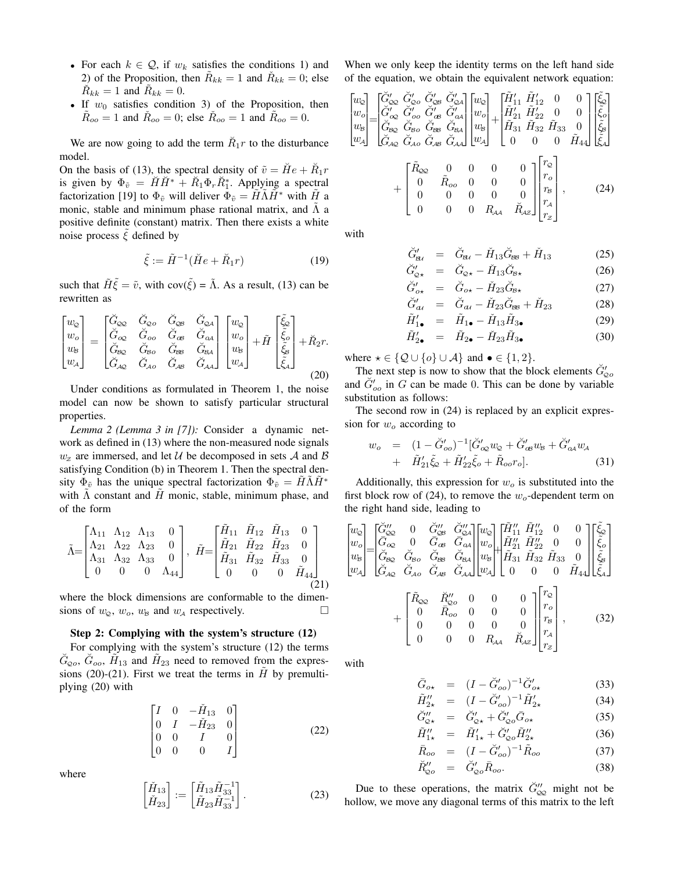- For each  $k \in \mathcal{Q}$ , if  $w_k$  satisfies the conditions 1) and 2) of the Proposition, then  $\tilde{R}_{kk} = 1$  and  $\tilde{R}_{kk} = 0$ ; else  $\check{R}_{kk} = 1$  and  $\tilde{R}_{kk} = 0$ .
- If  $w_0$  satisfies condition 3) of the Proposition, then  $\tilde{R}_{oo} = 1$  and  $\tilde{R}_{oo} = 0$ ; else  $\tilde{R}_{oo} = 1$  and  $\tilde{R}_{oo} = 0$ .

We are now going to add the term  $\check{R}_1r$  to the disturbance model.

On the basis of (13), the spectral density of  $\tilde{v} = \tilde{H}e + \tilde{R}_1r$ is given by  $\Phi_{\tilde{v}} = \check{H}\check{H}^* + \check{R}_1\Phi_r\check{R}_1^*$ . Applying a spectral factorization [19] to  $\Phi_{\tilde{v}}$  will deliver  $\Phi_{\tilde{v}} = H\Lambda H^*$  with H a monic, stable and minimum phase rational matrix, and  $\Lambda$  a positive definite (constant) matrix. Then there exists a white noise process  $\xi$  defined by

$$
\tilde{\xi} := \tilde{H}^{-1}(\breve{H}e + \breve{R}_1r) \tag{19}
$$

such that  $\tilde{H}\tilde{\xi} = \tilde{v}$ , with cov( $\tilde{\xi}$ ) =  $\tilde{\Lambda}$ . As a result, (13) can be rewritten as

$$
\begin{bmatrix} w_{\varphi} \\ w_{\varphi} \\ w_{\varphi} \\ w_{\varphi} \end{bmatrix} = \begin{bmatrix} \check{G}_{\varphi\varphi} & \check{G}_{\varphi\varphi} & \check{G}_{\varphi\varphi} & \check{G}_{\varphi\varphi} \\ \check{G}_{\varphi\varphi} & \check{G}_{\varphi\varphi} & \check{G}_{\varphi\varphi} & \check{G}_{\varphi\varphi} \\ \check{G}_{\varphi\varphi} & \check{G}_{\varphi\varphi} & \check{G}_{\varphi\varphi} & \check{G}_{\varphi\varphi} \\ \check{G}_{\varphi\varphi} & \check{G}_{\varphi\varphi} & \check{G}_{\varphi\varphi} & \check{G}_{\varphi\varphi} \end{bmatrix} \begin{bmatrix} w_{\varphi} \\ w_{\varphi} \\ w_{\varphi} \\ w_{\varphi} \end{bmatrix} + \tilde{H} \begin{bmatrix} \tilde{\xi}_{\varphi} \\ \tilde{\xi}_{\varphi} \\ \tilde{\xi}_{\varphi} \\ \tilde{\xi}_{\varphi} \end{bmatrix} + \tilde{R}_{2}r.
$$
\n(20)

Under conditions as formulated in Theorem 1, the noise model can now be shown to satisfy particular structural properties.

*Lemma 2 (Lemma 3 in [7]):* Consider a dynamic network as defined in (13) where the non-measured node signals  $w_z$  are immersed, and let U be decomposed in sets A and B satisfying Condition (b) in Theorem 1. Then the spectral density  $\Phi_{\tilde{v}}$  has the unique spectral factorization  $\Phi_{\tilde{v}} = H\Lambda H^*$ with  $\Lambda$  constant and  $\tilde{H}$  monic, stable, minimum phase, and of the form

$$
\tilde{\Lambda} = \begin{bmatrix} \Lambda_{11} & \Lambda_{12} & \Lambda_{13} & 0 \\ \Lambda_{21} & \Lambda_{22} & \Lambda_{23} & 0 \\ \Lambda_{31} & \Lambda_{32} & \Lambda_{33} & 0 \\ 0 & 0 & 0 & \Lambda_{44} \end{bmatrix}, \quad \tilde{H} = \begin{bmatrix} \tilde{H}_{11} & \tilde{H}_{12} & \tilde{H}_{13} & 0 \\ \tilde{H}_{21} & \tilde{H}_{22} & \tilde{H}_{23} & 0 \\ \tilde{H}_{31} & \tilde{H}_{32} & \tilde{H}_{33} & 0 \\ 0 & 0 & 0 & \tilde{H}_{44} \end{bmatrix}
$$
\n(21)

where the block dimensions are conformable to the dimensions of  $w_{\mathcal{Q}}$ ,  $w_o$ ,  $w_B$  and  $w_A$  respectively.

#### Step 2: Complying with the system's structure (12)

For complying with the system's structure (12) the terms  $\check{G}_{Qo}$ ,  $\check{G}_{oo}$ ,  $\tilde{H}_{13}$  and  $\tilde{H}_{23}$  need to removed from the expressions (20)-(21). First we treat the terms in  $\hat{H}$  by premultiplying (20) with

$$
\begin{bmatrix} I & 0 & -\check{H}_{13} & 0 \\ 0 & I & -\check{H}_{23} & 0 \\ 0 & 0 & I & 0 \\ 0 & 0 & 0 & I \end{bmatrix}
$$
 (22)

where

$$
\begin{bmatrix}\n\check{H}_{13} \\
\check{H}_{23}\n\end{bmatrix} := \begin{bmatrix}\n\tilde{H}_{13}\tilde{H}_{33}^{-1} \\
\tilde{H}_{23}\tilde{H}_{33}^{-1}\n\end{bmatrix}.
$$
\n(23)

When we only keep the identity terms on the left hand side of the equation, we obtain the equivalent network equation:

$$
\begin{bmatrix} w_{\infty} \\ w_{\infty} \\ w_{\infty} \\ w_{\infty} \end{bmatrix} = \begin{bmatrix} \tilde{G}'_{\infty} & \tilde{G}'_{\infty} & \tilde{G}'_{\infty} & \tilde{G}'_{\infty} \\ \tilde{G}'_{\infty} & \tilde{G}'_{\infty} & \tilde{G}'_{\infty} & \tilde{G}'_{\infty} \\ \tilde{G}'_{\infty} & \tilde{G}'_{\infty} & \tilde{G}'_{\infty} & \tilde{G}'_{\infty} \\ \tilde{G}'_{\infty} & \tilde{G}_{\infty} & \tilde{G}_{\infty} & \tilde{G}'_{\infty} \end{bmatrix} \begin{bmatrix} w_{\infty} \\ w_{\infty} \\ w_{\infty} \\ w_{\infty} \end{bmatrix} + \begin{bmatrix} \tilde{H}'_{11} & \tilde{H}'_{12} & 0 & 0 \\ \tilde{H}'_{21} & \tilde{H}'_{22} & 0 & 0 \\ \tilde{H}'_{31} & \tilde{H}'_{32} & \tilde{H}'_{33} & 0 \\ 0 & 0 & 0 & 0 & \tilde{H}'_{44} \\ 0 & 0 & 0 & 0 & \tilde{H}'_{44} \end{bmatrix} \begin{bmatrix} \tilde{E}_{\infty} \\ \tilde{E}_{\infty} \\ \tilde{E}_{\infty} \end{bmatrix} + \begin{bmatrix} \tilde{R}_{\infty} & 0 & 0 & 0 & 0 \\ 0 & \tilde{R}_{\infty} & 0 & 0 & 0 \\ 0 & 0 & 0 & 0 & 0 \\ 0 & 0 & 0 & 0 & 0 \\ 0 & 0 & 0 & 0 & \tilde{R}_{\infty} \end{bmatrix} \begin{bmatrix} r_{\infty} \\ r_{\infty} \\ r_{\infty} \\ r_{\infty} \\ r_{\infty} \end{bmatrix}, \qquad (24)
$$

with

$$
\breve{G}'_{\mathcal{B}4} = \breve{G}_{\mathcal{B}4} - \breve{H}_{13}\breve{G}_{\mathcal{B}8} + \breve{H}_{13} \tag{25}
$$

$$
\breve{G}'_{\mathcal{Q}\star} = \breve{G}_{\mathcal{Q}\star} - \breve{H}_{13}\breve{G}_{\mathcal{B}\star} \tag{26}
$$

$$
\breve{G}'_{o\star} = \breve{G}_{o\star} - \breve{H}_{23}\breve{G}_{B\star} \tag{27}
$$

$$
\ddot{G}'_{at} = \ddot{G}_{at} - \ddot{H}_{23}\ddot{G}_{gg} + \ddot{H}_{23} \tag{28}
$$

$$
\tilde{H}'_{1\bullet} = \tilde{H}_{1\bullet} - \tilde{H}_{13}\tilde{H}_{3\bullet}
$$
\n
$$
\tilde{H}'_{2} = \tilde{H}_{22} - \tilde{H}_{23}\tilde{H}_{22}
$$
\n(29)

$$
\tilde{H}'_{2\bullet} = \tilde{H}_{2\bullet} - \tilde{H}_{23}\tilde{H}_{3\bullet} \tag{30}
$$

where  $\star \in \{ \mathcal{Q} \cup \{o\} \cup \mathcal{A} \}$  and  $\bullet \in \{1,2\}.$ 

The next step is now to show that the block elements  $\check{G}'_{Qo}$ and  $\check{G}'_{oo}$  in G can be made 0. This can be done by variable substitution as follows:

The second row in (24) is replaced by an explicit expression for  $w<sub>o</sub>$  according to

$$
w_o = (1 - \breve{G}'_{oo})^{-1} [\breve{G}'_{oo} w_Q + \breve{G}'_{oo} w_B + \breve{G}'_{oa} w_A + \tilde{H}'_{21} \tilde{\xi}_Q + \tilde{H}'_{22} \tilde{\xi}_o + \tilde{R}_{oo} r_o].
$$
 (31)

Additionally, this expression for  $w<sub>o</sub>$  is substituted into the first block row of (24), to remove the  $w_0$ -dependent term on the right hand side, leading to

$$
\begin{bmatrix} w_{\mathcal{Q}} \\ w_{\mathcal{Q}} \\ w_{\mathcal{B}} \\ w_{\mathcal{B}} \end{bmatrix} = \begin{bmatrix} \tilde{G}_{\infty}^{\prime\prime} & 0 & \tilde{G}_{\infty}^{\prime\prime} & \tilde{G}_{\infty}^{\prime\prime} \\ \tilde{G}_{\infty} & 0 & \tilde{G}_{\infty} & \tilde{G}_{\infty} \\ \tilde{G}_{\infty} & 0 & \tilde{G}_{\infty} & \tilde{G}_{\infty} \\ \tilde{G}_{\infty} & \tilde{G}_{\infty} & \tilde{G}_{\infty} & \tilde{G}_{\infty} \end{bmatrix} \begin{bmatrix} w_{\mathcal{Q}} \\ w_{\mathcal{Q}} \\ w_{\mathcal{Q}} \end{bmatrix} + \begin{bmatrix} \tilde{H}_{11}^{\prime\prime} & \tilde{H}_{12}^{\prime\prime} & 0 & 0 \\ \tilde{H}_{21}^{\prime\prime} & \tilde{H}_{22}^{\prime\prime} & 0 & 0 \\ \tilde{H}_{31}^{\prime} & \tilde{H}_{32}^{\prime\prime} & 0 & 0 \\ 0 & 0 & 0 & \tilde{H}_{44} \end{bmatrix} \begin{bmatrix} \tilde{\xi}_{\tilde{\omega}} \\ \tilde{\xi}_{\tilde{\omega}} \\ \tilde{\xi}_{\tilde{\omega}} \end{bmatrix} + \begin{bmatrix} \tilde{R}_{\infty} & \tilde{R}_{\infty}^{\prime\prime} & 0 & 0 & 0 \\ 0 & \tilde{R}_{\infty} & 0 & 0 & 0 \\ 0 & 0 & 0 & 0 & 0 \\ 0 & 0 & 0 & 0 & 0 \\ 0 & 0 & 0 & R_{\mathcal{A}A} & \tilde{R}_{\mathcal{A}z} \end{bmatrix} \begin{bmatrix} r_{\mathcal{Q}} \\ r_{\mathcal{Q}} \\ r_{\mathcal{Q}} \\ r_{\mathcal{A}} \\ r_{\mathcal{A}} \end{bmatrix}, \qquad (32)
$$

with

$$
\bar{G}_{o\star} = (I - \breve{G}'_{oo})^{-1} \breve{G}'_{o\star} \tag{33}
$$

$$
\tilde{H}_{2\star}^{"} = (I - \tilde{G}'_{oo})^{-1} \tilde{H}_{2\star}^{\prime}
$$
\n(34)  
\n
$$
\tilde{G}_{\omega\star}^{"} = \tilde{G}'_{\omega\star} + \tilde{G}'_{\omega o} \tilde{G}_{o\star}
$$
\n(35)

$$
\tilde{H}''_{1\star} = \tilde{H}'_{1\star} + \tilde{G}'_{2o} \tilde{H}''_{2\star}
$$
 (36)

$$
\bar{R}_{oo} = (I - \breve{G}'_{oo})^{-1} \tilde{R}_{oo} \tag{37}
$$

$$
\breve{R}_{\mathcal{Q}\sigma}'' = \breve{G}_{\mathcal{Q}\sigma}' \bar{R}_{\sigma\sigma}.
$$
\n(38)

Due to these operations, the matrix  $\check{G}''_{\infty}$  might not be hollow, we move any diagonal terms of this matrix to the left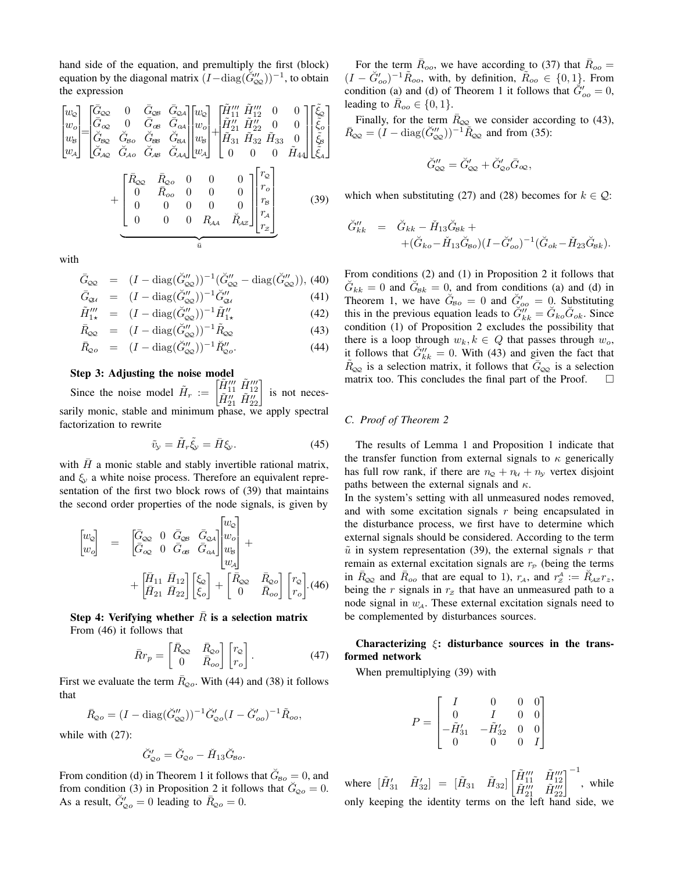hand side of the equation, and premultiply the first (block) equation by the diagonal matrix  $(I-\text{diag}(\check{G}''_{\text{QQ}}))^{-1}$ , to obtain the expression

$$
\begin{bmatrix} w_{\mathsf{c}} \\ w_{\mathsf{o}} \\ w_{\mathsf{b}} \\ w_{\mathsf{d}} \end{bmatrix} = \begin{bmatrix} \bar{G}_{\mathsf{c}\mathsf{o}} & 0 & \bar{G}_{\mathsf{o}\mathsf{s}} & \bar{G}_{\mathsf{o}\mathsf{a}} \\ \bar{G}_{\mathsf{o}\mathsf{c}} & 0 & \bar{G}_{\mathsf{o}\mathsf{s}} & \bar{G}_{\mathsf{o}\mathsf{a}} \\ \bar{G}_{\mathsf{o}\mathsf{c}} & 0 & \bar{G}_{\mathsf{o}\mathsf{s}} & \bar{G}_{\mathsf{o}\mathsf{a}} \\ \bar{G}_{\mathsf{f}\mathsf{o}\mathsf{c}} & \bar{G}_{\mathsf{o}\mathsf{o}} & \bar{G}_{\mathsf{o}\mathsf{s}\mathsf{a}} & \bar{G}_{\mathsf{o}\mathsf{a}\mathsf{a}} \\ \bar{G}_{\mathsf{A}\mathsf{o}} & \bar{G}_{\mathsf{A}\mathsf{o}} & \bar{G}_{\mathsf{A}\mathsf{s}} & \bar{G}_{\mathsf{A}\mathsf{a}} \end{bmatrix} \begin{bmatrix} w_{\mathsf{o}} \\ w_{\mathsf{o}} \\ w_{\mathsf{o}} \\ w_{\mathsf{a}} \end{bmatrix} + \begin{bmatrix} \tilde{H}_{11}^{\prime\prime} & \tilde{H}_{12}^{\prime\prime} & 0 & 0 \\ \tilde{H}_{21}^{\prime} & \tilde{H}_{22}^{\prime\prime} & 0 & 0 \\ \tilde{H}_{31} & \tilde{H}_{32} & \tilde{H}_{33} & 0 \\ 0 & 0 & 0 & 0 & \tilde{H}_{44} \end{bmatrix} \begin{bmatrix} \tilde{\xi}_{\mathsf{o}} \\ \tilde{\xi}_{\mathsf{o}} \\ \tilde{\xi}_{\mathsf{a}} \end{bmatrix} + \begin{bmatrix} \bar{R}_{\mathsf{o}\mathsf{o}} & 0 & 0 & 0 & 0 \\ 0 & \bar{R}_{\mathsf{o}\mathsf{o}} & 0 & 0 & 0 \\ 0 & 0 & 0 & 0 & 0 \\ 0 & 0 & 0 & 0 & 0 \\ 0 & 0 & 0 & R_{\mathsf{A}\mathsf{A}} & \tilde{R}_{\mathsf{A}\mathsf{z}} \end{bmatrix} \begin{bmatrix} r_{\mathsf{o}} \\ r_{\mathsf{o}} \\ r_{\mathsf{o}} \\ r_{\mathsf{o}} \\ r_{
$$

with

$$
\bar{G}_{\infty} = (I - \text{diag}(\check{G}_{\infty}^{"\prime}) )^{-1} (\check{G}_{\infty}^{"\prime} - \text{diag}(\check{G}_{\infty}^{"\prime})), (40)
$$

$$
\bar{G}_{\mathcal{Q}_\ell} = (I - \text{diag}(\breve{G}_{\mathcal{Q}_\ell}^{\prime\prime}))^{-1} \breve{G}_{\mathcal{Q}_\ell}^{\prime\prime} \tag{41}
$$
\n
$$
\breve{G}_{\ell\ell}^{\prime\prime\prime} = (I - \breve{G}_{\ell\ell}^{\prime\prime})^{-1} \breve{G}_{\mathcal{Q}_\ell}^{\prime\prime} \tag{42}
$$

$$
\tilde{H}^{\prime\prime\prime}_{1\star} = (I - \text{diag}(\breve{\mathcal{G}}^{\prime\prime}_{\infty}))^{-1} \tilde{H}^{\prime\prime}_{1\star} \tag{42}
$$

$$
\bar{R}_{\text{QQ}} = (I - \text{diag}(\breve{G}_{\text{QQ}}'')^{-1} \tilde{R}_{\text{QQ}} \tag{43}
$$

$$
\bar{R}_{\mathcal{Q}o} = (I - \text{diag}(\breve{G}_{\mathcal{Q}\mathcal{Q}}''))^{-1} \breve{R}_{\mathcal{Q}o}''.
$$
\n(44)

## Step 3: Adjusting the noise model

Since the noise model  $\tilde{H}_r := \begin{bmatrix} \tilde{H}_{11}^{\prime\prime\prime} & \tilde{H}_{12}^{\prime\prime\prime} \\ \tilde{H}_{21}^{\prime\prime} & \tilde{H}_{22}^{\prime\prime} \end{bmatrix}$ is not necessarily monic, stable and minimum phase, we apply spectral factorization to rewrite

$$
\tilde{v}_y = \tilde{H}_r \tilde{\xi}_y = \bar{H} \xi_y.
$$
\n(45)

with  $H$  a monic stable and stably invertible rational matrix, and  $\xi_v$  a white noise process. Therefore an equivalent representation of the first two block rows of (39) that maintains the second order properties of the node signals, is given by

$$
\begin{bmatrix} w_{\mathcal{Q}} \\ w_{o} \end{bmatrix} = \begin{bmatrix} \bar{G}_{\infty} & 0 & \bar{G}_{\infty} & \bar{G}_{\infty A} \\ \bar{G}_{\infty} & 0 & \bar{G}_{\infty} & \bar{G}_{\infty A} \end{bmatrix} \begin{bmatrix} w_{\mathcal{Q}} \\ w_{o} \\ w_{s} \end{bmatrix} + \begin{bmatrix} \bar{H}_{11} & \bar{H}_{12} \\ \bar{H}_{21} & \bar{H}_{22} \end{bmatrix} \begin{bmatrix} \xi_{\mathcal{Q}} \\ \xi_{o} \end{bmatrix} + \begin{bmatrix} \bar{R}_{\infty} & \bar{R}_{\infty o} \\ 0 & \bar{R}_{oo} \end{bmatrix} \begin{bmatrix} r_{\mathcal{Q}} \\ r_{o} \end{bmatrix} . (46)
$$

Step 4: Verifying whether  $\bar{R}$  is a selection matrix From (46) it follows that

$$
\bar{R}r_p = \begin{bmatrix} \bar{R}_{\infty} & \bar{R}_{\infty} \\ 0 & \bar{R}_{oo} \end{bmatrix} \begin{bmatrix} r_{\infty} \\ r_o \end{bmatrix} . \tag{47}
$$

First we evaluate the term  $R_{Qo}$ . With (44) and (38) it follows that

$$
\bar{R}_{Qo} = (I - \text{diag}(\check{G}_{QQ}^{"}) )^{-1} \check{G}_{Qo}^{"} (I - \check{G}_{oo}^{"})^{-1} \tilde{R}_{oo},
$$

while with (27):

$$
\breve{G}_{Qo}' = \breve{G}_{Qo} - \breve{H}_{13}\breve{G}_{Bo}.
$$

From condition (d) in Theorem 1 it follows that  $\check{G}_{B_0} = 0$ , and from condition (3) in Proposition 2 it follows that  $\tilde{G}_{Qo} = 0$ . As a result,  $\breve{G}'_{Qo} = 0$  leading to  $\bar{R}_{Qo} = 0$ .

For the term  $\bar{R}_{oo}$ , we have according to (37) that  $\bar{R}_{oo} =$  $(I - \breve{G}'_{oo})^{-1} \tilde{R}_{oo}$ , with, by definition,  $\tilde{R}_{oo} \in \{0, 1\}$ . From condition (a) and (d) of Theorem 1 it follows that  $\ddot{G}'_{oo} = 0$ , leading to  $\overline{R}_{oo} \in \{0, 1\}.$ 

Finally, for the term  $\bar{R}_{\text{QQ}}$  we consider according to (43),  $\bar{R}_{QQ} = (I - \text{diag}(\breve{G}_{QQ}^{"}))^{-1} \widetilde{R}_{QQ}$  and from (35):

$$
\breve{G}_{\varphi\varphi}'' = \breve{G}_{\varphi\varphi}' + \breve{G}_{\varphi o}' \bar{G}_{\varphi\varphi},
$$

which when substituting (27) and (28) becomes for  $k \in \mathcal{Q}$ :

$$
\check{G}_{kk}'' = \check{G}_{kk} - \check{H}_{13}\check{G}_{\text{B}k} + \n+ (\check{G}_{ko} - \check{H}_{13}\check{G}_{\text{Bo}})(I - \check{G}_{oo}')^{-1}(\check{G}_{ok} - \check{H}_{23}\check{G}_{\text{B}k}).
$$

From conditions (2) and (1) in Proposition 2 it follows that  $\check{G}_{kk} = 0$  and  $\check{G}_{kk} = 0$ , and from conditions (a) and (d) in Theorem 1, we have  $\ddot{G}_{Bo} = 0$  and  $\ddot{G}'_{oo} = 0$ . Substituting this in the previous equation leads to  $\ddot{G}''_{kk} = \ddot{G}_{ko}\ddot{G}_{ok}$ . Since condition (1) of Proposition 2 excludes the possibility that there is a loop through  $w_k, k \in Q$  that passes through  $w_o$ , it follows that  $\check{G}''_{kk} = 0$ . With (43) and given the fact that  $R_{\infty}$  is a selection matrix, it follows that  $\bar{G}_{\infty}$  is a selection matrix too. This concludes the final part of the Proof.  $\Box$ 

## *C. Proof of Theorem 2*

The results of Lemma 1 and Proposition 1 indicate that the transfer function from external signals to  $\kappa$  generically has full row rank, if there are  $n_{\mathcal{Q}} + n_{\mathcal{U}} + n_{\mathcal{Y}}$  vertex disjoint paths between the external signals and  $\kappa$ .

In the system's setting with all unmeasured nodes removed, and with some excitation signals r being encapsulated in the disturbance process, we first have to determine which external signals should be considered. According to the term  $\tilde{u}$  in system representation (39), the external signals r that remain as external excitation signals are  $r_P$  (being the terms in  $\bar{R}_{QQ}$  and  $\bar{R}_{oo}$  that are equal to 1),  $r_A$ , and  $r^A_z := \breve{R}_{AZ} r_z$ , being the r signals in  $r<sub>z</sub>$  that have an unmeasured path to a node signal in  $w_{\mathcal{A}}$ . These external excitation signals need to be complemented by disturbances sources.

# Characterizing  $\xi$ : disturbance sources in the transformed network

When premultiplying (39) with

$$
P=\begin{bmatrix}I&0&0&0\\0&I&0&0\\-\tilde{H}'_{31}&-\tilde{H}'_{32}&0&0\\0&0&0&I\end{bmatrix}
$$

where  $[\tilde{H}'_{31} \quad \tilde{H}'_{32}] = [\tilde{H}_{31} \quad \tilde{H}_{32}] \begin{bmatrix} \tilde{H}'''_{11} & \tilde{H}'''_{12} \\ \tilde{H}'''_{21} & \tilde{H}'''_{22} \end{bmatrix}^{-1}$ , while only keeping the identity terms on the left hand side, we